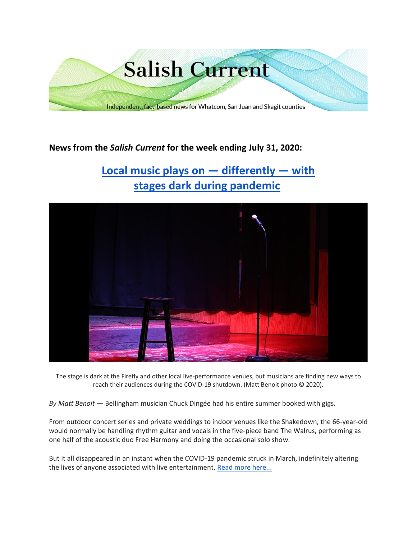

# **News from the** *Salish Current* **for the week ending July 31, 2020:**

**[Local music plays on](https://salish-current.org/2020/07/31/local-music-plays-on-differently-with-stages-dark-during-pandemic/) — differently — with [stages dark during pandemic](https://salish-current.org/2020/07/31/local-music-plays-on-differently-with-stages-dark-during-pandemic/)**



The stage is dark at the Firefly and other local live-performance venues, but musicians are finding new ways to reach their audiences during the COVID-19 shutdown. (Matt Benoit photo © 2020).

*By Matt Benoit* — Bellingham musician Chuck Dingée had his entire summer booked with gigs.

From outdoor concert series and private weddings to indoor venues like the Shakedown, the 66-year-old would normally be handling rhythm guitar and vocals in the five-piece band The Walrus, performing as one half of the acoustic duo Free Harmony and doing the occasional solo show.

But it all disappeared in an instant when the COVID-19 pandemic struck in March, indefinitely altering the lives of anyone associated with live entertainment. [Read more here...](https://salish-current.org/2020/07/31/local-music-plays-on-differently-with-stages-dark-during-pandemic/)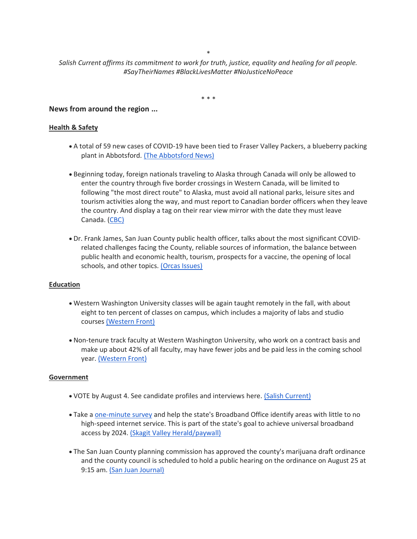\*

*Salish Current affirms its commitment to work for truth, justice, equality and healing for all people. #SayTheirNames #BlackLivesMatter #NoJusticeNoPeace*

\* \* \*

## **News from around the region ...**

#### **Health & Safety**

- A total of 59 new cases of COVID-19 have been tied to Fraser Valley Packers, a blueberry packing plant in Abbotsford. [\(The Abbotsford News\)](https://www.abbynews.com/news/59-covid-19-cases-now-tied-to-abbotsford-blueberry-packing-plant/)
- Beginning today, foreign nationals traveling to Alaska through Canada will only be allowed to enter the country through five border crossings in Western Canada, will be limited to following "the most direct route" to Alaska, must avoid all national parks, leisure sites and tourism activities along the way, and must report to Canadian border officers when they leave the country. And display a tag on their rear view mirror with the date they must leave Canada. [\(CBC\)](https://www.cbc.ca/news/canada/british-columbia/alaska-loophole-us-bc-covid-19-1.5669036)
- Dr. Frank James, San Juan County public health officer, talks about the most significant COVIDrelated challenges facing the County, reliable sources of information, the balance between public health and economic health, tourism, prospects for a vaccine, the opening of local schools, and other topics. [\(Orcas Issues\)](https://orcasissues.com/san-juan-county-health-officer-dr-frank-james-gives-a-peek-into-how-virus-decisions-are-made/)

#### **Education**

- Western Washington University classes will be again taught remotely in the fall, with about eight to ten percent of classes on campus, which includes a majority of labs and studio courses [\(Western Front\)](https://www.westernfrontonline.com/2020/07/30/breaking-wwu-president-announces-fall-update/)
- Non-tenure track faculty at Western Washington University, who work on a contract basis and make up about 42% of all faculty, may have fewer jobs and be paid less in the coming school year. [\(Western Front\)](https://www.westernfrontonline.com/2020/07/27/western-non-tenure-track-faculty-facing-fewer-jobs-lesser-salary-in-2020-21/)

#### **Government**

- VOTE by August 4. See candidate profiles and interviews here. [\(Salish Current\)](https://salish-current.org/2020/07/17/ballots-in-the-mail-july-15-primary-vote-aug-4/)
- Take a [one-minute survey](https://www.commerce.wa.gov/building-infrastructure/washington-statewide-broadband-act/speedtestsurvey/) and help the state's Broadband Office identify areas with little to no high-speed internet service. This is part of the state's goal to achieve universal broadband access by 2024. [\(Skagit Valley Herald/paywall\)](https://www.goskagit.com/news/local_news/broadband-survey-seeks-to-map-internet-access/article_bc491ffc-1edd-5dec-98be-54bcc29a975f.html)
- The San Juan County planning commission has approved the county's marijuana draft ordinance and the county council is scheduled to hold a public hearing on the ordinance on August 25 at 9:15 am. [\(San Juan Journal\)](https://www.sanjuanjournal.com/news/planning-commission-approves-marijuana-draft-ordinance/)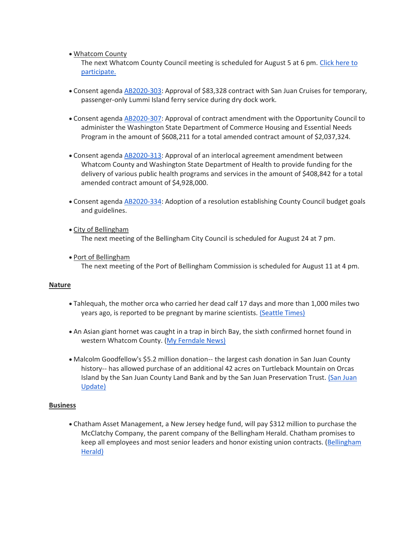## • Whatcom County

The next Whatcom County Council meeting is scheduled for August 5 at 6 pm. Click here to [participate.](http://www.whatcomcounty.us/3415/Participate-in-Virtual-Council-Meetings)

- Consent agenda [AB2020-303:](https://whatcom.legistar.com/View.ashx?M=F&ID=8694385&GUID=940B41FC-3C29-42B2-A043-FDEF707E493D) Approval of \$83,328 contract with San Juan Cruises for temporary, passenger-only Lummi Island ferry service during dry dock work.
- Consent agenda [AB2020-307:](https://whatcom.legistar.com/View.ashx?M=F&ID=8694378&GUID=9296118A-97C9-424B-AACB-2A39BFB8BEC6) Approval of contract amendment with the Opportunity Council to administer the Washington State Department of Commerce Housing and Essential Needs Program in the amount of \$608,211 for a total amended contract amount of \$2,037,324.
- Consent agenda [AB2020-313:](https://whatcom.legistar.com/View.ashx?M=F&ID=8694384&GUID=82B77136-8F64-42D5-8928-42E6DD39F223) Approval of an interlocal agreement amendment between Whatcom County and Washington State Department of Health to provide funding for the delivery of various public health programs and services in the amount of \$408,842 for a total amended contract amount of \$4,928,000.
- Consent agenda [AB2020-334:](https://whatcom.legistar.com/View.ashx?M=F&ID=8694662&GUID=8F0EF760-C062-481F-9C8F-142F0D1F5AE4) Adoption of a resolution establishing County Council budget goals and guidelines.
- City of Bellingham

The next meeting of the Bellingham City Council is scheduled for August 24 at 7 pm.

• Port of Bellingham

The next meeting of the Port of Bellingham Commission is scheduled for August 11 at 4 pm.

#### **Nature**

- Tahlequah, the mother orca who carried her dead calf 17 days and more than 1,000 miles two years ago, is reported to be pregnant by marine scientists. [\(Seattle Times\)](https://www.seattletimes.com/seattle-news/environment/tahlequah-the-orca-who-carried-her-dead-calf-for-17-days-is-pregnant-again)
- An Asian giant hornet was caught in a trap in birch Bay, the sixth confirmed hornet found in western Whatcom County. [\(My Ferndale News\)](https://myferndalenews.com/asian-giant-hornet-caught-in-birch-bay-trap_105726/)
- Malcolm Goodfellow's \$5.2 million donation-- the largest cash donation in San Juan County history-- has allowed purchase of an additional 42 acres on Turtleback Mountain on Orcas Island by the San Juan County Land Bank and by the San Juan Preservation Trust. [\(San Juan](https://sanjuanupdate.com/2020/07/record-5-2-million-gift-expands-turtleback-preserve/)  [Update\)](https://sanjuanupdate.com/2020/07/record-5-2-million-gift-expands-turtleback-preserve/)

## **Business**

• Chatham Asset Management, a New Jersey hedge fund, will pay \$312 million to purchase the McClatchy Company, the parent company of the Bellingham Herald. Chatham promises to keep all employees and most senior leaders and honor existing union contracts. [\(Bellingham](https://www.bellinghamherald.com/news/nation-world/national/article244474382.html)  [Herald\)](https://www.bellinghamherald.com/news/nation-world/national/article244474382.html)